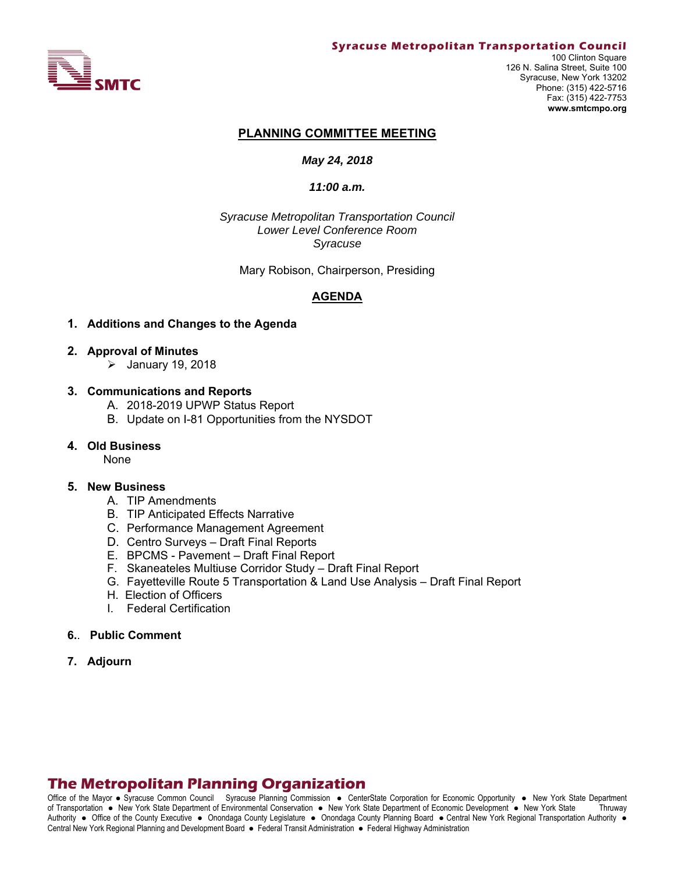

#### **PLANNING COMMITTEE MEETING**

#### *May 24, 2018*

#### *11:00 a.m.*

*Syracuse Metropolitan Transportation Council Lower Level Conference Room Syracuse* 

Mary Robison, Chairperson, Presiding

#### **AGENDA**

#### **1. Additions and Changes to the Agenda**

- **2. Approval of Minutes** 
	- $\blacktriangleright$  January 19, 2018

#### **3. Communications and Reports**

- A. 2018-2019 UPWP Status Report
- B. Update on I-81 Opportunities from the NYSDOT

#### **4. Old Business**

None

#### **5. New Business**

- A. TIP Amendments
- B. TIP Anticipated Effects Narrative
- C. Performance Management Agreement
- D. Centro Surveys Draft Final Reports
- E. BPCMS Pavement Draft Final Report
- F. Skaneateles Multiuse Corridor Study Draft Final Report
- G. Fayetteville Route 5 Transportation & Land Use Analysis Draft Final Report
- H. Election of Officers
- I. Federal Certification
- **6.**. **Public Comment**
- **7. Adjourn**

# **The Metropolitan Planning Organization**

Office of the Mayor • Syracuse Common Council Syracuse Planning Commission • CenterState Corporation for Economic Opportunity • New York State Department of Transportation New York State Department of Environmental Conservation New York State Department of Economic Development New York State Thruway Authority . Office of the County Executive . Onondaga County Legislature . Onondaga County Planning Board . Central New York Regional Transportation Authority . Central New York Regional Planning and Development Board · Federal Transit Administration · Federal Highway Administration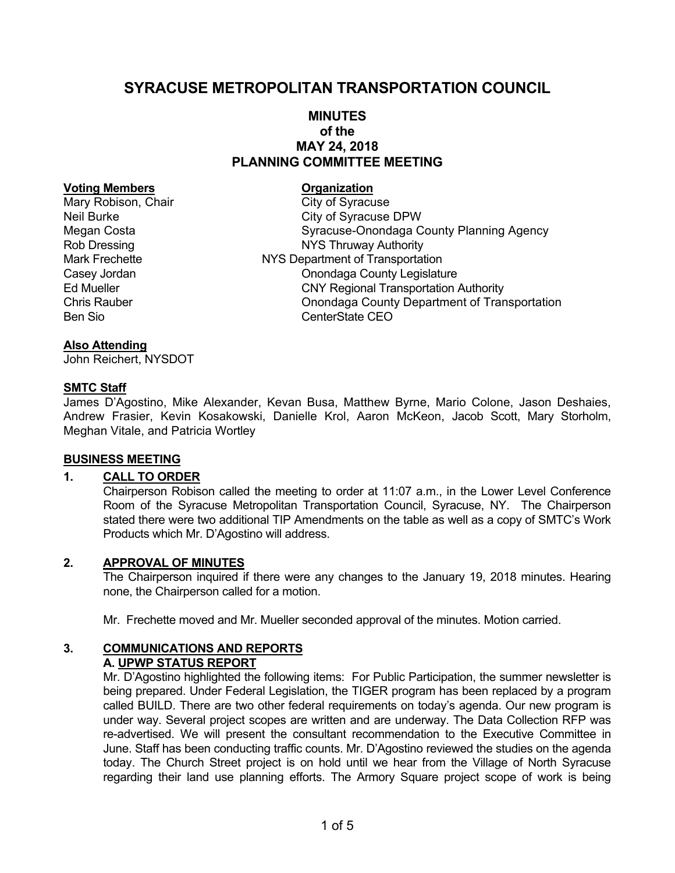# **SYRACUSE METROPOLITAN TRANSPORTATION COUNCIL**

# **MINUTES of the MAY 24, 2018 PLANNING COMMITTEE MEETING**

#### **Voting Members Construction Construction Construction Construction Construction Construction Construction Construction Construction Construction Construction Construction Construction Construction Construction Constructio**

Mary Robison, Chair City of Syracuse Neil Burke City of Syracuse DPW Megan Costa **Syracuse-Onondaga County Planning Agency** Rob Dressing **NYS Thruway Authority** Mark Frechette NYS Department of Transportation Casey Jordan Casey Jordan Casey Jordan Casey Jordan County Legislature Ed Mueller CNY Regional Transportation Authority Chris Rauber Onondaga County Department of Transportation Ben Sio **CenterState CEO** 

#### **Also Attending**

John Reichert, NYSDOT

## **SMTC Staff**

James D'Agostino, Mike Alexander, Kevan Busa, Matthew Byrne, Mario Colone, Jason Deshaies, Andrew Frasier, Kevin Kosakowski, Danielle Krol, Aaron McKeon, Jacob Scott, Mary Storholm, Meghan Vitale, and Patricia Wortley

#### **BUSINESS MEETING**

# **1. CALL TO ORDER**

Chairperson Robison called the meeting to order at 11:07 a.m., in the Lower Level Conference Room of the Syracuse Metropolitan Transportation Council, Syracuse, NY. The Chairperson stated there were two additional TIP Amendments on the table as well as a copy of SMTC's Work Products which Mr. D'Agostino will address.

#### **2. APPROVAL OF MINUTES**

The Chairperson inquired if there were any changes to the January 19, 2018 minutes. Hearing none, the Chairperson called for a motion.

Mr. Frechette moved and Mr. Mueller seconded approval of the minutes. Motion carried.

#### **3. COMMUNICATIONS AND REPORTS A. UPWP STATUS REPORT**

Mr. D'Agostino highlighted the following items: For Public Participation, the summer newsletter is being prepared. Under Federal Legislation, the TIGER program has been replaced by a program called BUILD. There are two other federal requirements on today's agenda. Our new program is under way. Several project scopes are written and are underway. The Data Collection RFP was re-advertised. We will present the consultant recommendation to the Executive Committee in June. Staff has been conducting traffic counts. Mr. D'Agostino reviewed the studies on the agenda today. The Church Street project is on hold until we hear from the Village of North Syracuse regarding their land use planning efforts. The Armory Square project scope of work is being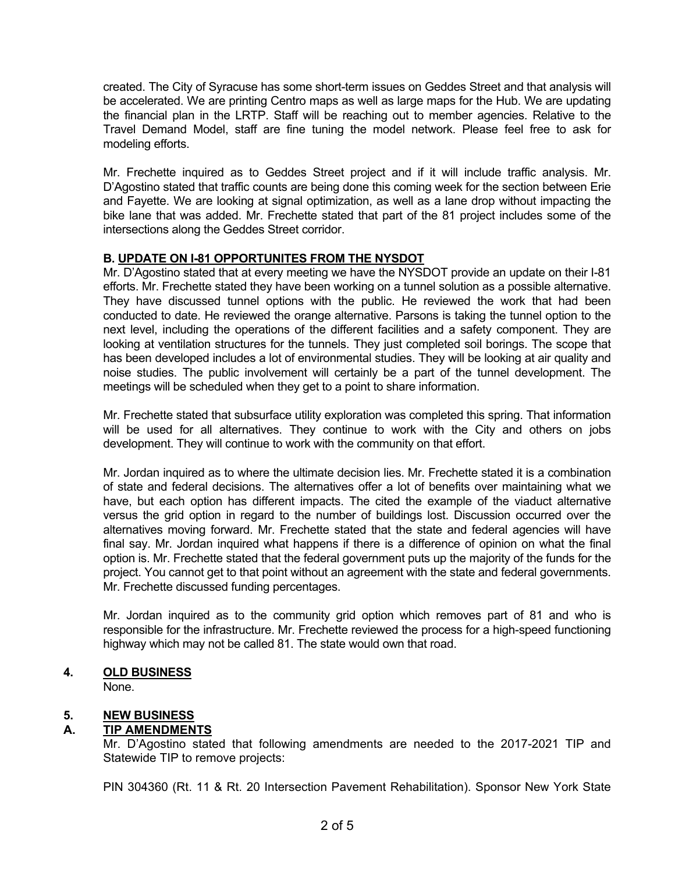created. The City of Syracuse has some short-term issues on Geddes Street and that analysis will be accelerated. We are printing Centro maps as well as large maps for the Hub. We are updating the financial plan in the LRTP. Staff will be reaching out to member agencies. Relative to the Travel Demand Model, staff are fine tuning the model network. Please feel free to ask for modeling efforts.

Mr. Frechette inquired as to Geddes Street project and if it will include traffic analysis. Mr. D'Agostino stated that traffic counts are being done this coming week for the section between Erie and Fayette. We are looking at signal optimization, as well as a lane drop without impacting the bike lane that was added. Mr. Frechette stated that part of the 81 project includes some of the intersections along the Geddes Street corridor.

# **B. UPDATE ON I-81 OPPORTUNITES FROM THE NYSDOT**

Mr. D'Agostino stated that at every meeting we have the NYSDOT provide an update on their I-81 efforts. Mr. Frechette stated they have been working on a tunnel solution as a possible alternative. They have discussed tunnel options with the public. He reviewed the work that had been conducted to date. He reviewed the orange alternative. Parsons is taking the tunnel option to the next level, including the operations of the different facilities and a safety component. They are looking at ventilation structures for the tunnels. They just completed soil borings. The scope that has been developed includes a lot of environmental studies. They will be looking at air quality and noise studies. The public involvement will certainly be a part of the tunnel development. The meetings will be scheduled when they get to a point to share information.

Mr. Frechette stated that subsurface utility exploration was completed this spring. That information will be used for all alternatives. They continue to work with the City and others on jobs development. They will continue to work with the community on that effort.

Mr. Jordan inquired as to where the ultimate decision lies. Mr. Frechette stated it is a combination of state and federal decisions. The alternatives offer a lot of benefits over maintaining what we have, but each option has different impacts. The cited the example of the viaduct alternative versus the grid option in regard to the number of buildings lost. Discussion occurred over the alternatives moving forward. Mr. Frechette stated that the state and federal agencies will have final say. Mr. Jordan inquired what happens if there is a difference of opinion on what the final option is. Mr. Frechette stated that the federal government puts up the majority of the funds for the project. You cannot get to that point without an agreement with the state and federal governments. Mr. Frechette discussed funding percentages.

Mr. Jordan inquired as to the community grid option which removes part of 81 and who is responsible for the infrastructure. Mr. Frechette reviewed the process for a high-speed functioning highway which may not be called 81. The state would own that road.

# **4. OLD BUSINESS**

None.

# **5. NEW BUSINESS**

# **A. TIP AMENDMENTS**

Mr. D'Agostino stated that following amendments are needed to the 2017-2021 TIP and Statewide TIP to remove projects:

PIN 304360 (Rt. 11 & Rt. 20 Intersection Pavement Rehabilitation). Sponsor New York State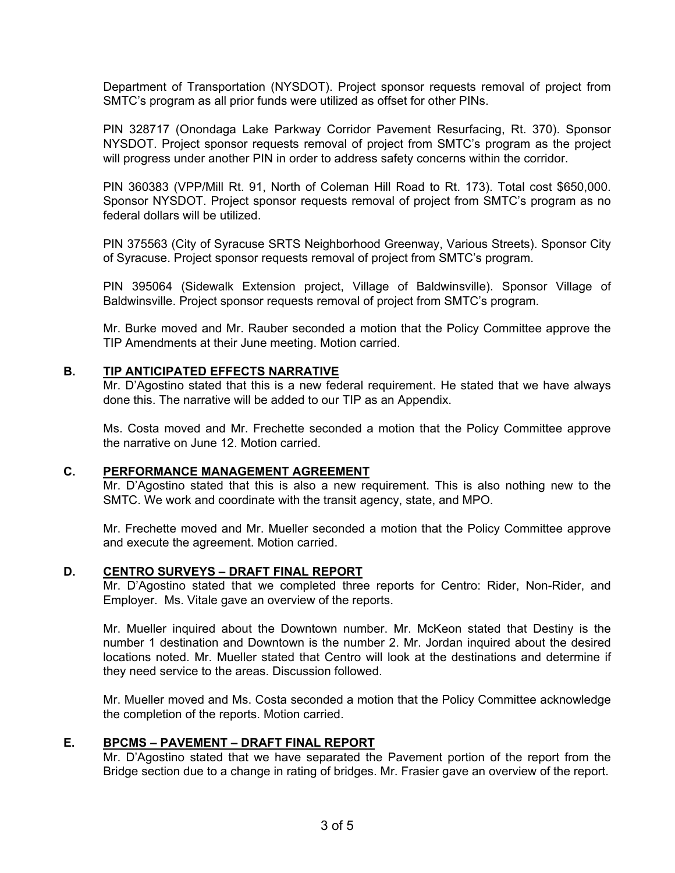Department of Transportation (NYSDOT). Project sponsor requests removal of project from SMTC's program as all prior funds were utilized as offset for other PINs.

PIN 328717 (Onondaga Lake Parkway Corridor Pavement Resurfacing, Rt. 370). Sponsor NYSDOT. Project sponsor requests removal of project from SMTC's program as the project will progress under another PIN in order to address safety concerns within the corridor.

PIN 360383 (VPP/Mill Rt. 91, North of Coleman Hill Road to Rt. 173). Total cost \$650,000. Sponsor NYSDOT. Project sponsor requests removal of project from SMTC's program as no federal dollars will be utilized.

PIN 375563 (City of Syracuse SRTS Neighborhood Greenway, Various Streets). Sponsor City of Syracuse. Project sponsor requests removal of project from SMTC's program.

PIN 395064 (Sidewalk Extension project, Village of Baldwinsville). Sponsor Village of Baldwinsville. Project sponsor requests removal of project from SMTC's program.

Mr. Burke moved and Mr. Rauber seconded a motion that the Policy Committee approve the TIP Amendments at their June meeting. Motion carried.

## **B. TIP ANTICIPATED EFFECTS NARRATIVE**

Mr. D'Agostino stated that this is a new federal requirement. He stated that we have always done this. The narrative will be added to our TIP as an Appendix.

Ms. Costa moved and Mr. Frechette seconded a motion that the Policy Committee approve the narrative on June 12. Motion carried.

## **C. PERFORMANCE MANAGEMENT AGREEMENT**

Mr. D'Agostino stated that this is also a new requirement. This is also nothing new to the SMTC. We work and coordinate with the transit agency, state, and MPO.

Mr. Frechette moved and Mr. Mueller seconded a motion that the Policy Committee approve and execute the agreement. Motion carried.

#### **D. CENTRO SURVEYS – DRAFT FINAL REPORT**

Mr. D'Agostino stated that we completed three reports for Centro: Rider, Non-Rider, and Employer. Ms. Vitale gave an overview of the reports.

Mr. Mueller inquired about the Downtown number. Mr. McKeon stated that Destiny is the number 1 destination and Downtown is the number 2. Mr. Jordan inquired about the desired locations noted. Mr. Mueller stated that Centro will look at the destinations and determine if they need service to the areas. Discussion followed.

Mr. Mueller moved and Ms. Costa seconded a motion that the Policy Committee acknowledge the completion of the reports. Motion carried.

#### **E. BPCMS – PAVEMENT – DRAFT FINAL REPORT**

Mr. D'Agostino stated that we have separated the Pavement portion of the report from the Bridge section due to a change in rating of bridges. Mr. Frasier gave an overview of the report.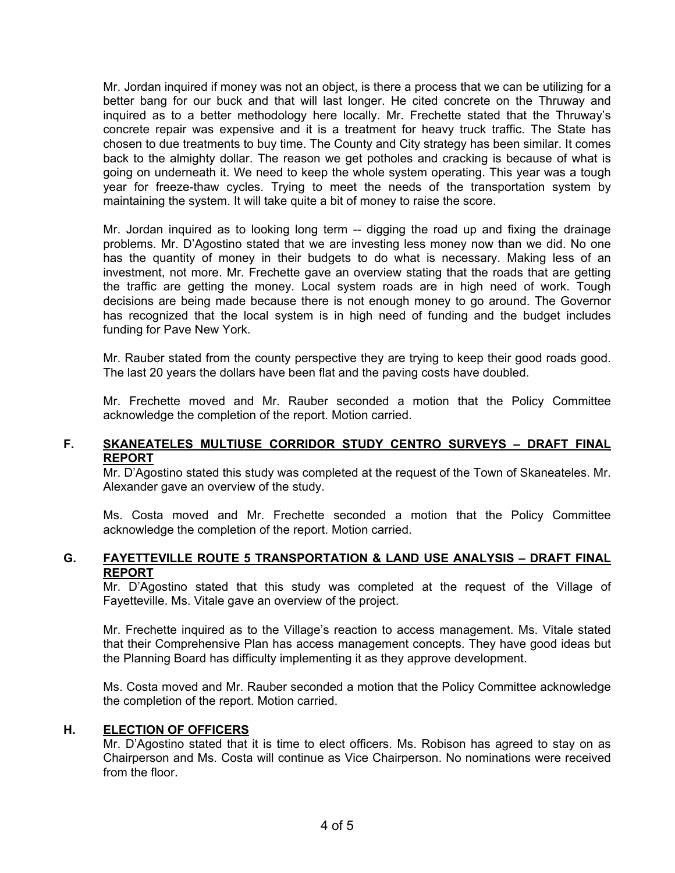Mr. Jordan inquired if money was not an object, is there a process that we can be utilizing for a better bang for our buck and that will last longer. He cited concrete on the Thruway and inquired as to a better methodology here locally. Mr. Frechette stated that the Thruway's concrete repair was expensive and it is a treatment for heavy truck traffic. The State has chosen to due treatments to buy time. The County and City strategy has been similar. It comes back to the almighty dollar. The reason we get potholes and cracking is because of what is going on underneath it. We need to keep the whole system operating. This year was a tough year for freeze-thaw cycles. Trying to meet the needs of the transportation system by maintaining the system. It will take quite a bit of money to raise the score.

Mr. Jordan inquired as to looking long term -- digging the road up and fixing the drainage problems. Mr. D'Agostino stated that we are investing less money now than we did. No one has the quantity of money in their budgets to do what is necessary. Making less of an investment, not more. Mr. Frechette gave an overview stating that the roads that are getting the traffic are getting the money. Local system roads are in high need of work. Tough decisions are being made because there is not enough money to go around. The Governor has recognized that the local system is in high need of funding and the budget includes funding for Pave New York.

Mr. Rauber stated from the county perspective they are trying to keep their good roads good. The last 20 years the dollars have been flat and the paving costs have doubled.

Mr. Frechette moved and Mr. Rauber seconded a motion that the Policy Committee acknowledge the completion of the report. Motion carried.

# **F. SKANEATELES MULTIUSE CORRIDOR STUDY CENTRO SURVEYS – DRAFT FINAL REPORT**

Mr. D'Agostino stated this study was completed at the request of the Town of Skaneateles. Mr. Alexander gave an overview of the study.

Ms. Costa moved and Mr. Frechette seconded a motion that the Policy Committee acknowledge the completion of the report. Motion carried.

# **G. FAYETTEVILLE ROUTE 5 TRANSPORTATION & LAND USE ANALYSIS – DRAFT FINAL REPORT**

Mr. D'Agostino stated that this study was completed at the request of the Village of Fayetteville. Ms. Vitale gave an overview of the project.

Mr. Frechette inquired as to the Village's reaction to access management. Ms. Vitale stated that their Comprehensive Plan has access management concepts. They have good ideas but the Planning Board has difficulty implementing it as they approve development.

Ms. Costa moved and Mr. Rauber seconded a motion that the Policy Committee acknowledge the completion of the report. Motion carried.

#### **H. ELECTION OF OFFICERS**

Mr. D'Agostino stated that it is time to elect officers. Ms. Robison has agreed to stay on as Chairperson and Ms. Costa will continue as Vice Chairperson. No nominations were received from the floor.